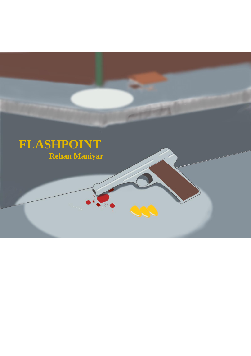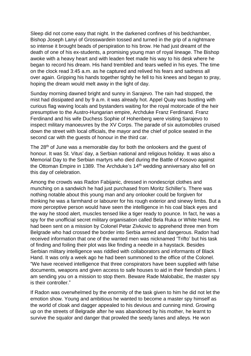Sleep did not come easy that night. In the darkened confines of his bedchamber, Bishop Joseph Lanyi of Grosswardein tossed and turned in the grip of a nightmare so intense it brought beads of perspiration to his brow. He had just dreamt of the death of one of his ex-students, a promising young man of royal lineage. The Bishop awoke with a heavy heart and with leaden feet made his way to his desk where he began to record his dream. His hand trembled and tears welled in his eyes. The time on the clock read 3:45 a.m. as he captured and relived his fears and sadness all over again. Gripping his hands together tightly he fell to his knees and began to pray, hoping the dream would melt away in the light of day.

Sunday morning dawned bright and sunny in Sarajevo. The rain had stopped, the mist had dissipated and by 9 a.m. it was already hot. Appel Quay was bustling with curious flag waving locals and bystanders waiting for the royal motorcade of the heir presumptive to the Austro-Hungarian empire, Archduke Franz Ferdinand. Franz Ferdinand and his wife Duchess Sophie of Hohenberg were visiting Sarajevo to inspect military manoeuvres by the XV Corps. The parade of six automobiles cruised down the street with local officials, the mayor and the chief of police seated in the second car with the guests of honour in the third car.

The 28<sup>th</sup> of June was a memorable day for both the onlookers and the guest of honour. It was St. Vitus' day, a Serbian national and religious holiday. It was also a Memorial Day to the Serbian martyrs who died during the Battle of Kosovo against the Ottoman Empire in 1389. The Archduke's 14<sup>th</sup> wedding anniversary also fell on this day of celebration.

Among the crowds was Radon Fabijanic, dressed in nondescript clothes and munching on a sandwich he had just purchased from Moritz Schiller's. There was nothing notable about this young man and any onlooker could be forgiven for thinking he was a farmhand or labourer for his rough exterior and sinewy limbs. But a more perceptive person would have seen the intelligence in his coal black eyes and the way he stood alert, muscles tensed like a tiger ready to pounce. In fact, he was a spy for the unofficial secret military organisation called Bela Ruka or White Hand. He had been sent on a mission by Colonel Petar Zivkovic to apprehend three men from Belgrade who had crossed the border into Serbia armed and dangerous. Radon had received information that one of the wanted men was nicknamed 'Trifto' but his task of finding and foiling their plot was like finding a needle in a haystack. Besides Serbian military intelligence was riddled with collaborators and informants of Black Hand. It was only a week ago he had been summoned to the office of the Colonel. "We have received intelligence that three conspirators have been supplied with false documents, weapons and given access to safe houses to aid in their fiendish plans. I am sending you on a mission to stop them. Beware Rade Malobabic, the master spy is their controller."

If Radon was overwhelmed by the enormity of the task given to him he did not let the emotion show. Young and ambitious he wanted to become a master spy himself as the world of cloak and dagger appealed to his devious and cunning mind. Growing up on the streets of Belgrade after he was abandoned by his mother, he learnt to survive the squalor and danger that prowled the seedy lanes and alleys. He won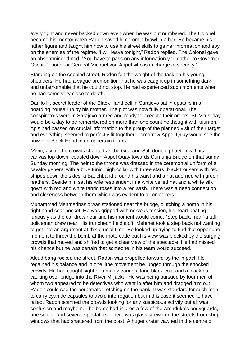every fight and never backed down even when he was out numbered. The Colonel became his mentor when Radon saved him from a brawl in a bar. He became his father figure and taught him how to use his street skills to gather information and spy on the enemies of the regime. 'I will leave tonight," Radon replied. The Colonel gave an absentminded nod. "You have to pass on any information you gather to Governor Oscar Potiorek or General Michael von Appel who is in charge of security."

Standing on the cobbled street, Radon felt the weight of the task on his young shoulders. He had a vague premonition that he was caught up in something dark and unfathomable that he could not stop. He had experienced such moments when he had come very close to death.

Danilo Ili, secret leader of the Black Hand cell in Sarajevo sat in upstairs in a boarding house run by his mother. The plot was now fully operational. The conspirators were in Sarajevo armed and ready to execute their orders. St. Vitus' day would be a day to be remembered on more than one count he thought with triumph. Apis had passed on crucial information to the group of the planned visit of their target and everything seemed to perfectly fit together. Tomorrow Appel Quay would see the power of Black Hand in no uncertain terms.

"Zivio, Zivio," the crowds chanted as the Graf and Stift double phaeton with its canvas top down, coasted down Appel Quay towards Cumurija Bridge on that sunny Sunday morning. The heir to the throne was dressed in the ceremonial uniform of a cavalry general with a blue tunic, high collar with three stars, black trousers with red stripes down the sides, a Bauchband around his waist and a hat adorned with green feathers. Beside him sat his wife resplendent in a white veiled hat and a white silk gown with red and white fabric roses into a red sash. There was a deep connection and closeness between them which was evident to all onlookers.

Muhammad Mehmedbasic was stationed near the bridge, clutching a bomb in his right hand coat pocket. He was gripped with nervous tension, his heart beating furiously as the car drew near and his moment would come. "Step back, man" a tall policeman drew near. His truncheon held aloft. Mehmet took a step back not wanting to get into an argument at this crucial time. He looked up trying to find that opportune moment to throw the bomb at the motorcade but his view was blocked by the surging crowds that moved and shifted to get a clear view of the spectacle. He had missed his chance but he was certain that someone in his team would succeed.

Aloud bang rocked the street. Radon was propelled forward by the impact. He regained his balance and in one lithe movement he lunged through the shocked crowds. He had caught sight of a man wearing a long black coat and a black hat vaulting over bridge into the River Miljacka. He was being pursued by four men of whom two appeared to be detectives who went in after him and dragged him out. Radon could see the perpetrator retching on the bank. It was standard for such men to carry cyanide capsules to avoid interrogation but in this case it seemed to have failed. Radon scanned the crowds looking for any suspicious activity but all was confusion and mayhem. The bomb had injured a few of the Archduke's bodyguards, one soldier and several spectators. There was glass strewn on the streets from shop windows that had shattered from the blast. A huger crater yawned in the centre of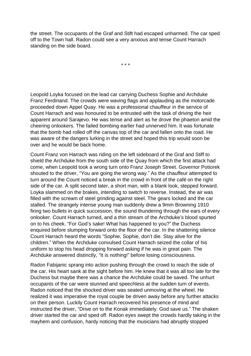the street. The occupants of the Graf and Stift had escaped unharmed. The car sped off to the Town hall. Radon could see a very anxious and tense Count Harrach standing on the side board.

\* \* \*

Leopold Loyka focused on the lead car carrying Duchess Sophie and Archduke Franz Ferdinand. The crowds were waving flags and applauding as the motorcade proceeded down Appel Quay. He was a professional chauffeur in the service of Count Harrach and was honoured to be entrusted with the task of driving the heir apparent around Sarajevo. He was tense and alert as he drove the phaeton amid the cheering onlookers. The failed bombing earlier had unnerved him. It was fortunate that the bomb had rolled off the canvas top of the car and fallen onto the road. He was aware of the dangers lurking in the street and hoped this trip would soon be over and he would be back home.

Count Franz von Harrach was riding on the left sideboard of the Graf and Stiff to shield the Archduke from the south side of the Quay from which the first attack had come, when Leopold took a wrong turn onto Franz Joseph Street. Governor Potiorek shouted to the driver, "You are going the wrong way." As the chauffeur attempted to turn around the Count noticed a break in the crowd in front of the café on the right side of the car. A split second later, a short man, with a blank look, stepped forward. Loyka slammed on the brakes, intending to switch to reverse. Instead, the air was filled with the scream of steel grinding against steel. The gears locked and the car stalled. The strangely intense young man suddenly drew a 9mm Browning 1910 firing two bullets in quick succession, the sound thundering through the ears of every onlooker. Count Harrach turned, and a thin stream of the Archduke's blood spurted on to his cheek. "For God's sake! What has happened to you?" the Duchess enquired before slumping forward onto the floor of the car. In the shattering silence Count Harrach heard the words "Sophie, Sophie, don't die. Stay alive for the children." When the Archduke convulsed Count Harrach seized the collar of his uniform to stop his head dropping forward asking if he was in great pain. The Archduke answered distinctly, "It is nothing!" before losing consciousness.

Radon Fabijanic sprang into action pushing through the crowd to reach the side of the car. His heart sank at the sight before him. He knew that it was all too late for the Duchess but maybe there was a chance the Archduke could be saved. The unhurt occupants of the car were stunned and speechless at the sudden turn of events. Radon noticed that the shocked driver was seated unmoving at the wheel. He realized it was imperative the royal couple be driven away before any further attacks on their person. Luckily Count Harrach recovered his presence of mind and instructed the driver, "Drive on to the Konak immediately. God save us." The shaken driver started the car and sped off. Radon eyes swept the crowds hardly taking in the mayhem and confusion, hardy noticing that the musicians had abruptly stopped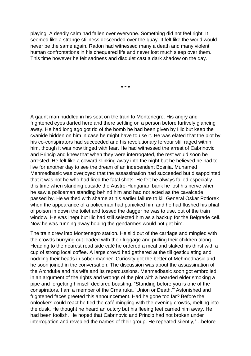playing. A deadly calm had fallen over everyone. Something did not feel right. It seemed like a strange stillness descended over the quay. It felt like the world would never be the same again. Radon had witnessed many a death and many violent human confrontations in his chequered life and never lost much sleep over them. This time however he felt sadness and disquiet cast a dark shadow on the day.

\* \* \*

A gaunt man huddled in his seat on the train to Montenegro. His angry and frightened eyes darted here and there settling on a person before furtively glancing away. He had long ago got rid of the bomb he had been given by Illic but keep the cyanide hidden on him in case he might have to use it. He was elated that the plot by his co-conspirators had succeeded and his revolutionary fervour still raged within him, though it was now tinged with fear. He had witnessed the arrest of Cabrinovic and Princip and knew that when they were interrogated, the rest would soon be arrested. He felt like a coward slinking away into the night but he believed he had to live for another day to see the dream of an independent Bosnia. Muhamed Mehmedbasic was overjoyed that the assassination had succeeded but disappointed that it was not he who had fired the fatal shots. He felt he always failed especially this time when standing outside the Austro-Hungarian bank he lost his nerve when he saw a policeman standing behind him and had not acted as the cavalcade passed by. He writhed with shame at his earlier failure to kill General Oskar Potiorek when the appearance of a policeman had panicked him and he had flushed his phial of poison in down the toilet and tossed the dagger he was to use, out of the train window. He was inept but Ilic had still selected him as a backup for the Belgrade cell. Now he was running away hoping the gendarmes would not get him.

The train drew into Montenegro station. He slid out of the carriage and mingled with the crowds hurrying out loaded with their luggage and pulling their children along. Heading to the nearest road side café he ordered a meal and slaked his thirst with a cup of strong local coffee. A large crowd had gathered at the till gesticulating and nodding their heads in sober manner. Curiosity got the better of Mehmedbasic and he soon joined in the conversation. The discussion was about the assassination of the Archduke and his wife and its repercussions. Mehmedbasic soon got embroiled in an argument of the rights and wrongs of the plot with a bearded elder smoking a pipe and forgetting himself declared boasting, "Standing before you is one of the conspirators. I am a member of the Crna ruka, 'Union or Death.'" Astonished and frightened faces greeted this announcement. Had he gone too far? Before the onlookers could react he fled the café mingling with the evening crowds, melting into the dusk. He thought he heard an outcry but his fleeing feet carried him away. He had been foolish. He hoped that Cabrinovic and Princip had not broken under interrogation and revealed the names of their group. He repeated silently,"…before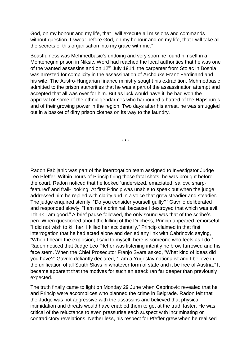God, on my honour and my life, that I will execute all missions and commands without question. I swear before God, on my honour and on my life, that I will take all the secrets of this organisation into my grave with me."

Boastfulness was Mehmedbasic's undoing and very soon he found himself in a Montenegrin prison in Niksic. Word had reached the local authorities that he was one of the wanted assassins and on  $12<sup>th</sup>$  July 1914, the carpenter from Stolac in Bosnia was arrested for complicity in the assassination of Archduke Franz Ferdinand and his wife. The Austro-Hungarian finance ministry sought his extradition. Mehmedbasic admitted to the prison authorities that he was a part of the assassination attempt and accepted that all was over for him. But as luck would have it, he had won the approval of some of the ethnic gendarmes who harboured a hatred of the Hapsburgs and of their growing power in the region. Two days after his arrest, he was smuggled out in a basket of dirty prison clothes on its way to the laundry.

\* \* \*

Radon Fabijanic was part of the interrogation team assigned to Investigator Judge Leo Pfeffer. Within hours of Princip firing those fatal shots, he was brought before the court. Radon noticed that he looked 'undersized, emaciated, sallow, sharpfeatured' and frail- looking. At first Princip was unable to speak but when the judge addressed him he replied with clarity and in a voice that grew steadier and steadier. The judge enquired sternly, "Do you consider yourself guilty?" Gavrilo deliberated and responded slowly, "I am not a criminal, because I destroyed that which was evil. I think I am good." A brief pause followed, the only sound was that of the scribe's pen. When questioned about the killing of the Duchess, Princip appeared remorseful, "I did not wish to kill her, I killed her accidentally." Princip claimed in that first interrogation that he had acted alone and denied any link with Cabrinovic saying, "When I heard the explosion, I said to myself: here is someone who feels as I do." Radon noticed that Judge Leo Pfeffer was listening intently he brow furrowed and his face stern. When the Chief Prosecutor Franjo Svara asked, "What kind of ideas did you have?" Gavrilo defiantly declared, "I am a Yugoslav nationalist and I believe in the unification of all South Slavs in whatever form of state and it be free of Austria." It became apparent that the motives for such an attack ran far deeper than previously expected.

The truth finally came to light on Monday 29 June when Cabrinovic revealed that he and Princip were accomplices who planned the crime in Belgrade. Radon felt that the Judge was not aggressive with the assassins and believed that physical intimidation and threats would have enabled them to get at the truth faster. He was critical of the reluctance to even pressurise each suspect with incriminating or contradictory revelations. Nether less, his respect for Pfeffer grew when he realised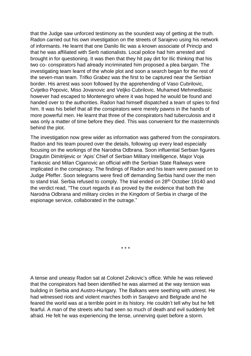that the Judge saw unforced testimony as the soundest way of getting at the truth. Radon carried out his own investigation on the streets of Sarajevo using his network of informants. He learnt that one Danilo Ilic was a known associate of Princip and that he was affiliated with Serb nationalists. Local police had him arrested and brought in for questioning. It was then that they hit pay dirt for Ilic thinking that his two co- conspirators had already incriminated him proposed a plea bargain. The investigating team learnt of the whole plot and soon a search began for the rest of the seven-man team. Trifko Grabez was the first to be captured near the Serbian border. His arrest was soon followed by the apprehending of Vaso Cubrilovic, Cvijetko Popovic, Miso Jovanovic and Veljko Cubrilovic. Muhamed Mehmedbasic however had escaped to Montenegro where it was hoped he would be found and handed over to the authorities. Radon had himself dispatched a team of spies to find him. It was his belief that all the conspirators were merely pawns in the hands of more powerful men. He learnt that three of the conspirators had tuberculosis and it was only a matter of time before they died. This was convenient for the masterminds behind the plot.

The investigation now grew wider as information was gathered from the conspirators. Radon and his team poured over the details, following up every lead especially focusing on the workings of the Narodna Odbrana. Soon influential Serbian figures Dragutin Dimitrijevic or 'Apis' Chief of Serbian Military Intelligence, Major Voja Tankosic and Milan Ciganovic an official with the Serbian State Railways were implicated in the conspiracy. The findings of Radon and his team were passed on to Judge Pfeffer. Soon telegrams were fired off demanding Serbia hand over the men to stand trial. Serbia refused to comply. The trial ended on 28<sup>th</sup> October 19140 and the verdict read, "The court regards it as proved by the evidence that both the Narodna Odbrana and military circles in the Kingdom of Serbia in charge of the espionage service, collaborated in the outrage."

\* \* \*

A tense and uneasy Radon sat at Colonel Zvikovic's office. While he was relieved that the conspirators had been identified he was alarmed at the way tension was building in Serbia and Austro-Hungary. The Balkans were seething with unrest. He had witnessed riots and violent marches both in Sarajevo and Belgrade and he feared the world was at a terrible point in its history. He couldn't tell why but he felt fearful. A man of the streets who had seen so much of death and evil suddenly felt afraid. He felt he was experiencing the tense, unnerving quiet before a storm.